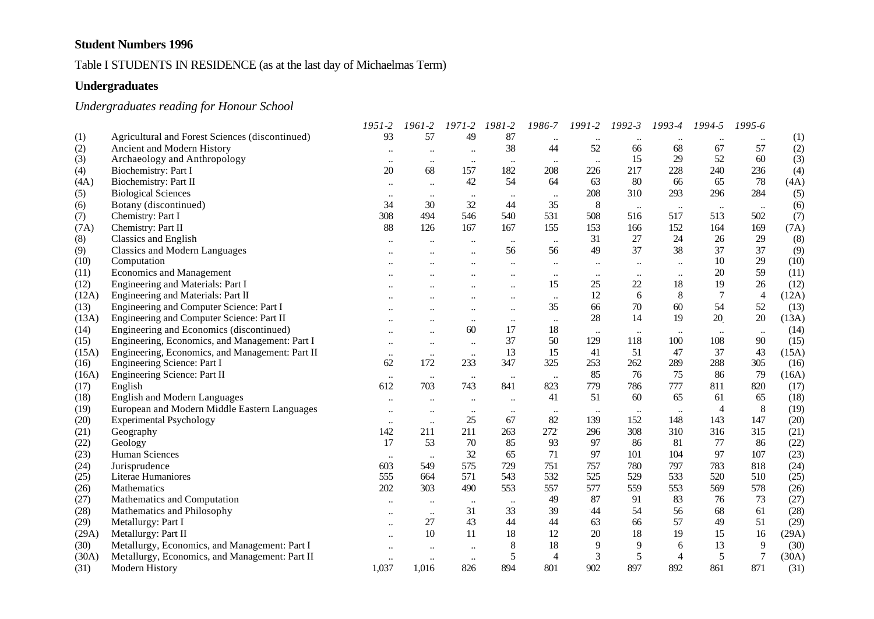# Table I STUDENTS IN RESIDENCE (as at the last day of Michaelmas Term)

### **Undergraduates**

# *Undergraduates reading for Honour School*

|       |                                                 | 1951-2    | 1961-2    | $1971 - 2$           | 1981-2               | 1986-7    | 1991-2    | 1992-3    | 1993-4         | 1994-5         | 1995-6           |       |
|-------|-------------------------------------------------|-----------|-----------|----------------------|----------------------|-----------|-----------|-----------|----------------|----------------|------------------|-------|
| (1)   | Agricultural and Forest Sciences (discontinued) | 93        | 57        | 49                   | 87                   | $\ldots$  |           |           |                |                | $\ddotsc$        | (1)   |
| (2)   | Ancient and Modern History                      | $\ddotsc$ | $\ldots$  | $\ldots$             | 38                   | 44        | 52        | 66        | 68             | 67             | 57               | (2)   |
| (3)   | Archaeology and Anthropology                    | $\ddotsc$ | $\ddotsc$ | $\ddotsc$            | $\ddotsc$            | $\ddotsc$ | $\ddotsc$ | 15        | 29             | 52             | 60               | (3)   |
| (4)   | Biochemistry: Part I                            | 20        | 68        | 157                  | 182                  | 208       | 226       | 217       | 228            | 240            | 236              | (4)   |
| (4A)  | Biochemistry: Part II                           | $\ddotsc$ | $\ddotsc$ | 42                   | 54                   | 64        | 63        | 80        | 66             | 65             | 78               | (4A)  |
| (5)   | <b>Biological Sciences</b>                      | $\ddotsc$ | $\ldots$  | $\ldots$             | $\ddotsc$            | $\ddotsc$ | 208       | 310       | 293            | 296            | 284              | (5)   |
| (6)   | Botany (discontinued)                           | 34        | 30        | 32                   | 44                   | 35        | 8         | $\ddotsc$ | $\ddotsc$      | $\ddotsc$      | $\ldots$         | (6)   |
| (7)   | Chemistry: Part I                               | 308       | 494       | 546                  | 540                  | 531       | 508       | 516       | 517            | 513            | 502              | (7)   |
| (7A)  | Chemistry: Part II                              | 88        | 126       | 167                  | 167                  | 155       | 153       | 166       | 152            | 164            | 169              | (7A)  |
| (8)   | Classics and English                            | $\ddotsc$ |           | $\ddotsc$            | $\ddotsc$            | $\ldots$  | 31        | 27        | 24             | 26             | 29               | (8)   |
| (9)   | <b>Classics and Modern Languages</b>            |           |           | $\ddot{\phantom{a}}$ | 56                   | 56        | 49        | 37        | 38             | 37             | 37               | (9)   |
| (10)  | Computation                                     |           |           | $\ddotsc$            | $\ddotsc$            | $\ldots$  | $\ddotsc$ | $\ddotsc$ | $\ldots$       | 10             | 29               | (10)  |
| (11)  | <b>Economics and Management</b>                 |           |           | $\ddot{\phantom{a}}$ | $\ddot{\phantom{a}}$ | $\ddotsc$ | $\ldots$  | $\ddotsc$ | $\ldots$       | $20\,$         | 59               | (11)  |
| (12)  | Engineering and Materials: Part I               |           |           |                      | $\ddot{\phantom{a}}$ | 15        | 25        | 22        | 18             | 19             | 26               | (12)  |
| (12A) | Engineering and Materials: Part II              |           |           |                      | $\ddotsc$            | $\ddotsc$ | 12        | 6         | 8              | $\tau$         | $\overline{4}$   | (12A) |
| (13)  | Engineering and Computer Science: Part I        |           |           |                      | $\ddotsc$            | 35        | 66        | 70        | 60             | 54             | 52               | (13)  |
| (13A) | Engineering and Computer Science: Part II       |           | $\ddotsc$ | $\ddotsc$            | $\ldots$             | $\ddotsc$ | 28        | 14        | 19             | 20             | 20               | (13A) |
| (14)  | Engineering and Economics (discontinued)        |           | $\ddotsc$ | 60                   | 17                   | 18        | $\ldots$  | $\ldots$  | $\ddotsc$      | $\ddotsc$      | $\ddotsc$        | (14)  |
| (15)  | Engineering, Economics, and Management: Part I  | $\ddotsc$ | $\ddotsc$ | $\ddotsc$            | 37                   | 50        | 129       | 118       | 100            | 108            | 90               | (15)  |
| (15A) | Engineering, Economics, and Management: Part II | $\ldots$  | $\ldots$  | $\ddotsc$            | 13                   | 15        | 41        | 51        | 47             | 37             | 43               | (15A) |
| (16)  | Engineering Science: Part I                     | 62        | 172       | 233                  | 347                  | 325       | 253       | 262       | 289            | 288            | 305              | (16)  |
| (16A) | Engineering Science: Part II                    | $\ddotsc$ | $\ldots$  | $\ddotsc$            | $\ldots$             | $\ddotsc$ | 85        | 76        | 75             | 86             | 79               | (16A) |
| (17)  | English                                         | 612       | 703       | 743                  | 841                  | 823       | 779       | 786       | 777            | 811            | 820              | (17)  |
| (18)  | <b>English and Modern Languages</b>             | $\ddotsc$ | $\ddotsc$ | $\ddotsc$            | $\ddotsc$            | 41        | 51        | 60        | 65             | 61             | 65               | (18)  |
| (19)  | European and Modern Middle Eastern Languages    | $\ddotsc$ | $\ddotsc$ | $\ldots$             | $\cdots$             | $\ldots$  | $\ddotsc$ | $\ddotsc$ | $\ddotsc$      | $\overline{4}$ | $\,8\,$          | (19)  |
| (20)  | <b>Experimental Psychology</b>                  | $\ddotsc$ | $\ddots$  | 25                   | 67                   | 82        | 139       | 152       | 148            | 143            | 147              | (20)  |
| (21)  | Geography                                       | 142       | 211       | 211                  | 263                  | 272       | 296       | 308       | 310            | 316            | 315              | (21)  |
| (22)  | Geology                                         | 17        | 53        | 70                   | 85                   | 93        | 97        | 86        | 81             | 77             | 86               | (22)  |
| (23)  | Human Sciences                                  | $\ddotsc$ | $\ldots$  | 32                   | 65                   | 71        | 97        | 101       | 104            | 97             | 107              | (23)  |
| (24)  | Jurisprudence                                   | 603       | 549       | 575                  | 729                  | 751       | 757       | 780       | 797            | 783            | 818              | (24)  |
| (25)  | Literae Humaniores                              | 555       | 664       | 571                  | 543                  | 532       | 525       | 529       | 533            | 520            | 510              | (25)  |
| (26)  | Mathematics                                     | 202       | 303       | 490                  | 553                  | 557       | 577       | 559       | 553            | 569            | 578              | (26)  |
| (27)  | Mathematics and Computation                     | $\ddotsc$ | $\ddotsc$ | $\ddotsc$            | $\ddotsc$            | 49        | 87        | 91        | 83             | 76             | 73               | (27)  |
| (28)  | Mathematics and Philosophy                      | $\ddotsc$ | $\ddotsc$ | 31                   | 33                   | 39        | $-44$     | 54        | 56             | 68             | 61               | (28)  |
| (29)  | Metallurgy: Part I                              | $\ddotsc$ | 27        | 43                   | 44                   | 44        | 63        | 66        | 57             | 49             | 51               | (29)  |
| (29A) | Metallurgy: Part II                             |           | 10        | 11                   | 18                   | 12        | 20        | 18        | 19             | 15             | 16               | (29A) |
| (30)  | Metallurgy, Economics, and Management: Part I   |           | $\ddotsc$ | $\ddotsc$            | 8                    | 18        | 9         | 9         | 6              | 13             | 9                | (30)  |
| (30A) | Metallurgy, Economics, and Management: Part II  | $\ddotsc$ | $\ddotsc$ | $\ddotsc$            | 5                    | 4         | 3         | 5         | $\overline{4}$ | 5              | $\boldsymbol{7}$ | (30A) |
| (31)  | Modern History                                  | 1,037     | 1,016     | 826                  | 894                  | 801       | 902       | 897       | 892            | 861            | 871              | (31)  |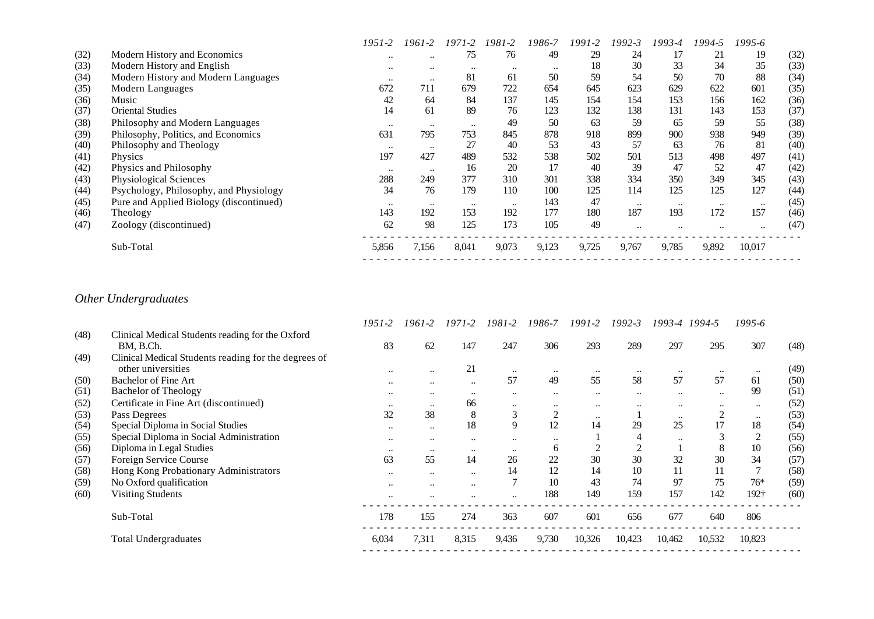|      |                                         | $1951 - 2$ | 1961-2               | 1971-2               | 1981-2           | 1986-7    | $1991 - 2$ | $1992 - 3$ | 1993-4    | 1994-5               | 1995-6    |      |
|------|-----------------------------------------|------------|----------------------|----------------------|------------------|-----------|------------|------------|-----------|----------------------|-----------|------|
| (32) | Modern History and Economics            | $\ddotsc$  | $\ddot{\phantom{0}}$ | 75                   | 76               | 49        | 29         | 24         | 17        | 21                   | 19        | (32) |
| (33) | Modern History and English              | $\ddotsc$  | $\ddot{\phantom{0}}$ | $\ddot{\phantom{0}}$ | $\ddotsc$        | $\ddotsc$ | 18         | 30         | 33        | 34                   | 35        | (33) |
| (34) | Modern History and Modern Languages     | $\ddotsc$  | $\ddotsc$            | 81                   | 61               | 50        | 59         | 54         | 50        | 70                   | 88        | (34) |
| (35) | Modern Languages                        | 672        | 711                  | 679                  | 722              | 654       | 645        | 623        | 629       | 622                  | 601       | (35) |
| (36) | Music                                   | 42         | 64                   | 84                   | 137              | 145       | 154        | 154        | 153       | 156                  | 162       | (36) |
| (37) | <b>Oriental Studies</b>                 | 14         | 61                   | 89                   | 76               | 123       | 132        | 138        | 131       | 143                  | 153       | (37) |
| (38) | Philosophy and Modern Languages         | $\ddotsc$  | $\ddotsc$            | $\ddot{\phantom{0}}$ | 49               | 50        | 63         | 59         | 65        | 59                   | 55        | (38) |
| (39) | Philosophy, Politics, and Economics     | 631        | 795                  | 753                  | 845              | 878       | 918        | 899        | 900       | 938                  | 949       | (39) |
| (40) | Philosophy and Theology                 | $\ddotsc$  | $\bullet\bullet$     | 27                   | 40               | 53        | 43         | 57         | 63        | 76                   | 81        | (40) |
| (41) | Physics                                 | 197        | 427                  | 489                  | 532              | 538       | 502        | 501        | 513       | 498                  | 497       | (41) |
| (42) | Physics and Philosophy                  | $\ddotsc$  | $\ddot{\phantom{0}}$ | 16                   | 20               | 17        | 40         | 39         | 47        | 52                   | 47        | (42) |
| (43) | Physiological Sciences                  | 288        | 249                  | 377                  | 310              | 301       | 338        | 334        | 350       | 349                  | 345       | (43) |
| (44) | Psychology, Philosophy, and Physiology  | 34         | 76                   | 179                  | 110              | 100       | 125        | 114        | 125       | 125                  | 127       | (44) |
| (45) | Pure and Applied Biology (discontinued) | $\ddotsc$  | $\bullet\bullet$     | $\ddotsc$            | $\bullet\bullet$ | 143       | 47         | $\ddotsc$  | $\ddotsc$ | $\ddot{\phantom{0}}$ | $\ddotsc$ | (45) |
| (46) | Theology                                | 143        | 192                  | 153                  | 192              | 177       | 180        | 187        | 193       | 172                  | 157       | (46) |
| (47) | Zoology (discontinued)                  | 62         | 98                   | 125                  | 173              | 105       | 49         | $\ddotsc$  | $\ddotsc$ | $\ddot{\phantom{0}}$ | $\ddotsc$ | (47) |
|      | Sub-Total                               | 5,856      | 7,156                | 8,041                | 9,073            | 9,123     | 9,725      | 9,767      | 9,785     | 9,892                | 10,017    |      |
|      |                                         |            |                      |                      |                  |           |            |            |           |                      |           |      |

# *Other Undergraduates*

|      |                                                      | 1951-2           | 1961-2               | $1971 - 2$           | 1981-2    | 1986-7         | 1991-2    | $1992 - 3$ | 1993-4 1994-5 |                | 1995-6    |      |
|------|------------------------------------------------------|------------------|----------------------|----------------------|-----------|----------------|-----------|------------|---------------|----------------|-----------|------|
| (48) | Clinical Medical Students reading for the Oxford     |                  |                      |                      |           |                |           |            |               |                |           |      |
|      | BM, B.Ch.                                            | 83               | 62                   | 147                  | 247       | 306            | 293       | 289        | 297           | 295            | 307       | (48) |
| (49) | Clinical Medical Students reading for the degrees of |                  |                      |                      |           |                |           |            |               |                |           |      |
|      | other universities                                   | $\ddotsc$        | $\ddotsc$            | 21                   | $\ddotsc$ | $\ddotsc$      | $\ddotsc$ | $\ddotsc$  | $\ddotsc$     | $\ddotsc$      | $\ddotsc$ | (49) |
| (50) | <b>Bachelor of Fine Art</b>                          | $\ddotsc$        | $\ddotsc$            | $\ddotsc$            | 57        | 49             | 55        | 58         | 57            | 57             | 61        | (50) |
| (51) | <b>Bachelor of Theology</b>                          | $\ddotsc$        | $\cdot$ .            | $\ddot{\phantom{0}}$ |           | $\ddotsc$      | $\ddotsc$ | $\ddotsc$  | $\ddotsc$     | $\ddotsc$      | 99        | (51) |
| (52) | Certificate in Fine Art (discontinued)               | $\ddotsc$        | $\ddotsc$            | 66                   |           | $\ddotsc$      | $\ddotsc$ | $\ddotsc$  | $\ddotsc$     | $\ddotsc$      | $\ddotsc$ | (52) |
| (53) | Pass Degrees                                         | 32               | 38                   | 8                    | 3         | $\overline{2}$ | $\ddotsc$ |            | $\ddotsc$     | $\overline{2}$ | $\ddotsc$ | (53) |
| (54) | Special Diploma in Social Studies                    | $\ddotsc$        | $\ddotsc$            | 18                   | 9         | 12             | 14        | 29         | 25            | 17             | 18        | (54) |
| (55) | Special Diploma in Social Administration             | $\ddotsc$        | $\ddotsc$            | $\ddotsc$            | $\ddotsc$ | $\ddotsc$      |           | 4          | $\ddotsc$     | 3              | 2         | (55) |
| (56) | Diploma in Legal Studies                             | $\ddotsc$        | $\bullet\bullet$     | $\bullet\bullet$     | $\ddotsc$ | <sub>0</sub>   |           |            |               | 8              | 10        | (56) |
| (57) | Foreign Service Course                               | 63               | 55                   | 14                   | 26        | 22             | 30        | 30         | 32            | 30             | 34        | (57) |
| (58) | Hong Kong Probationary Administrators                | $\bullet\bullet$ | $\ddotsc$            | $\ddotsc$            | 14        | 12             | 14        | 10         | 11            | 11             |           | (58) |
| (59) | No Oxford qualification                              | $\ddotsc$        | $\ddotsc$            | $\ddotsc$            |           | 10             | 43        | 74         | 97            | 75             | $76*$     | (59) |
| (60) | <b>Visiting Students</b>                             | $\ddotsc$        | $\ddot{\phantom{0}}$ |                      |           | 188            | 149       | 159        | 157           | 142            | 192†      | (60) |
|      | Sub-Total                                            | 178              | 155                  | 274                  | 363       | 607            | 601       | 656        | 677           | 640            | 806       |      |
|      | <b>Total Undergraduates</b>                          | 6,034            | 7,311                | 8,315                | 9,436     | 9,730          | 10,326    | 10,423     | 10,462        | 10,532         | 10,823    |      |
|      |                                                      |                  |                      |                      |           |                |           |            |               |                |           |      |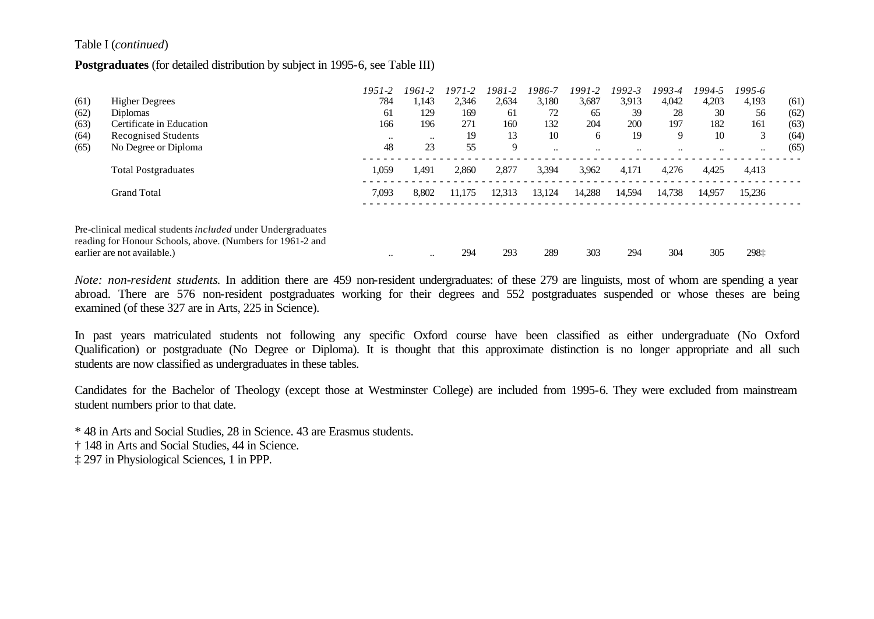#### Table I (*continued*)

#### **Postgraduates** (for detailed distribution by subject in 1995-6, see Table III)

|      |                                                             | $1951 - 2$ | 1961-2    | $1971 - 2$ | 1981-2 | 1986-7    | 1991-2    | 1992-3    | 1993-4    | 1994-5    | 1995-6    |      |
|------|-------------------------------------------------------------|------------|-----------|------------|--------|-----------|-----------|-----------|-----------|-----------|-----------|------|
| (61) | <b>Higher Degrees</b>                                       | 784        | 1,143     | 2,346      | 2,634  | 3,180     | 3,687     | 3,913     | 4,042     | 4,203     | 4,193     | (61) |
| (62) | <b>Diplomas</b>                                             | 61         | 129       | 169        | 61     | 72        | 65        | 39        | 28        | 30        | 56        | (62) |
| (63) | Certificate in Education                                    | 166        | 196       | 271        | 160    | 132       | 204       | 200       | 197       | 182       | 161       | (63) |
| (64) | Recognised Students                                         | $\ddotsc$  | $\ddotsc$ | 19         | 13     | 10        | 6         | 19        | 9         | 10        | 3         | (64) |
| (65) | No Degree or Diploma                                        | 48         | 23        | 55         | 9      | $\ddotsc$ | $\ddotsc$ | $\ddotsc$ | $\ddotsc$ | $\ddotsc$ | $\ddotsc$ | (65) |
|      | <b>Total Postgraduates</b>                                  | 1,059      | 1,491     | 2,860      | 2,877  | 3,394     | 3,962     | 4,171     | 4,276     | 4,425     | 4,413     |      |
|      | <b>Grand Total</b>                                          | 7,093      | 8.802     | 11.175     | 12.313 | 13.124    | 14,288    | 14,594    | 14,738    | 14,957    | 15.236    |      |
|      | Pre-clinical medical students included under Undergraduates |            |           |            |        |           |           |           |           |           |           |      |
|      | reading for Honour Schools, above. (Numbers for 1961-2 and  |            |           |            |        |           |           |           |           |           |           |      |
|      | earlier are not available.)                                 | $\ddotsc$  | $\ddotsc$ | 294        | 293    | 289       | 303       | 294       | 304       | 305       | 298‡      |      |

*Note: non-resident students*. In addition there are 459 non-resident undergraduates: of these 279 are linguists, most of whom are spending a year abroad. There are 576 non-resident postgraduates working for their degrees and 552 postgraduates suspended or whose theses are being examined (of these 327 are in Arts, 225 in Science).

In past years matriculated students not following any specific Oxford course have been classified as either undergraduate (No Oxford Qualification) or postgraduate (No Degree or Diploma). It is thought that this approximate distinction is no longer appropriate and all such students are now classified as undergraduates in these tables.

Candidates for the Bachelor of Theology (except those at Westminster College) are included from 1995-6. They were excluded from mainstream student numbers prior to that date.

\* 48 in Arts and Social Studies, 28 in Science. 43 are Erasmus students.

† 148 in Arts and Social Studies, 44 in Science.

‡ 297 in Physiological Sciences, 1 in PPP.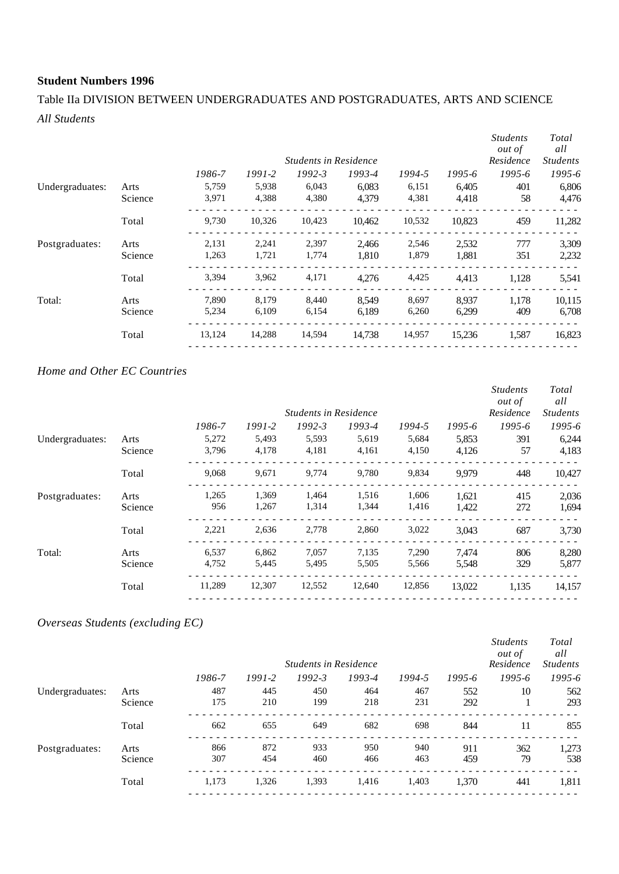## Table IIa DIVISION BETWEEN UNDERGRADUATES AND POSTGRADUATES, ARTS AND SCIENCE *All Students*

|                 |         |        |        | <b>Students in Residence</b> |        |        |            | <b>Students</b><br><i>out of</i><br>Residence | Total<br>all<br><b>Students</b> |
|-----------------|---------|--------|--------|------------------------------|--------|--------|------------|-----------------------------------------------|---------------------------------|
|                 |         | 1986-7 | 1991-2 | $1992 - 3$                   | 1993-4 | 1994-5 | $1995 - 6$ | 1995-6                                        | 1995-6                          |
| Undergraduates: | Arts    | 5,759  | 5,938  | 6,043                        | 6,083  | 6,151  | 6,405      | 401                                           | 6,806                           |
|                 | Science | 3,971  | 4,388  | 4,380                        | 4,379  | 4,381  | 4,418      | 58                                            | 4,476                           |
|                 | Total   | 9,730  | 10,326 | 10,423                       | 10.462 | 10,532 | 10,823     | 459                                           | 11,282                          |
| Postgraduates:  | Arts    | 2,131  | 2,241  | 2,397                        | 2,466  | 2,546  | 2,532      | 777                                           | 3,309                           |
|                 | Science | 1,263  | 1,721  | 1,774                        | 1,810  | 1,879  | 1,881      | 351                                           | 2,232                           |
|                 | Total   | 3,394  | 3,962  | 4,171                        | 4,276  | 4,425  | 4,413      | 1,128                                         | 5,541                           |
| Total:          | Arts    | 7,890  | 8,179  | 8,440                        | 8.549  | 8,697  | 8,937      | 1.178                                         | 10,115                          |
|                 | Science | 5,234  | 6,109  | 6,154                        | 6.189  | 6,260  | 6,299      | 409                                           | 6,708                           |
|                 | Total   | 13,124 | 14,288 | 14,594                       | 14.738 | 14,957 | 15,236     | 1,587                                         | 16,823                          |

### *Home and Other EC Countries*

|                 |         |        |            |                              |        |        |            | <b>Students</b><br><i>out of</i> | Total<br>all    |
|-----------------|---------|--------|------------|------------------------------|--------|--------|------------|----------------------------------|-----------------|
|                 |         |        |            | <b>Students in Residence</b> |        |        |            | Residence                        | <b>Students</b> |
|                 |         | 1986-7 | $1991 - 2$ | $1992 - 3$                   | 1993-4 | 1994-5 | $1995 - 6$ | $1995 - 6$                       | 1995-6          |
| Undergraduates: | Arts    | 5,272  | 5,493      | 5,593                        | 5,619  | 5,684  | 5,853      | 391                              | 6,244           |
|                 | Science | 3,796  | 4,178      | 4,181                        | 4,161  | 4,150  | 4,126      | 57                               | 4,183           |
|                 | Total   | 9,068  | 9,671      | 9,774                        | 9,780  | 9,834  | 9.979      | 448                              | 10,427          |
| Postgraduates:  | Arts    | 1,265  | 1,369      | 1,464                        | 1,516  | 1,606  | 1,621      | 415                              | 2,036           |
|                 | Science | 956    | 1,267      | 1,314                        | 1,344  | 1,416  | 1,422      | 272                              | 1,694           |
|                 | Total   | 2,221  | 2,636      | 2,778                        | 2,860  | 3,022  | 3,043      | 687                              | 3,730           |
| Total:          | Arts    | 6,537  | 6,862      | 7,057                        | 7,135  | 7,290  | 7,474      | 806                              | 8,280           |
|                 | Science | 4,752  | 5,445      | 5,495                        | 5,505  | 5,566  | 5,548      | 329                              | 5,877           |
|                 | Total   | 11,289 | 12,307     | 12,552                       | 12,640 | 12,856 | 13,022     | 1,135                            | 14,157          |
|                 |         |        |            |                              |        |        |            |                                  |                 |

## *Overseas Students (excluding EC)*

|                 |         |        |            | <b>Students in Residence</b> |        |        |            | <b>Students</b><br><i>out of</i><br>Residence | Total<br>all<br><b>Students</b> |
|-----------------|---------|--------|------------|------------------------------|--------|--------|------------|-----------------------------------------------|---------------------------------|
|                 |         | 1986-7 | $1991 - 2$ | $1992 - 3$                   | 1993-4 | 1994-5 | $1995 - 6$ | $1995 - 6$                                    | 1995-6                          |
| Undergraduates: | Arts    | 487    | 445        | 450                          | 464    | 467    | 552        | 10                                            | 562                             |
|                 | Science | 175    | 210        | 199                          | 218    | 231    | 292        |                                               | 293                             |
|                 | Total   | 662    | 655        | 649                          | 682    | 698    | 844        | 11                                            | 855                             |
| Postgraduates:  | Arts    | 866    | 872        | 933                          | 950    | 940    | 911        | 362                                           | 1,273                           |
|                 | Science | 307    | 454        | 460                          | 466    | 463    | 459        | 79                                            | 538                             |
|                 | Total   | 1,173  | 1,326      | 1,393                        | 1,416  | 1,403  | 1,370      | 441                                           | 1,811                           |
|                 |         |        |            |                              |        |        |            |                                               |                                 |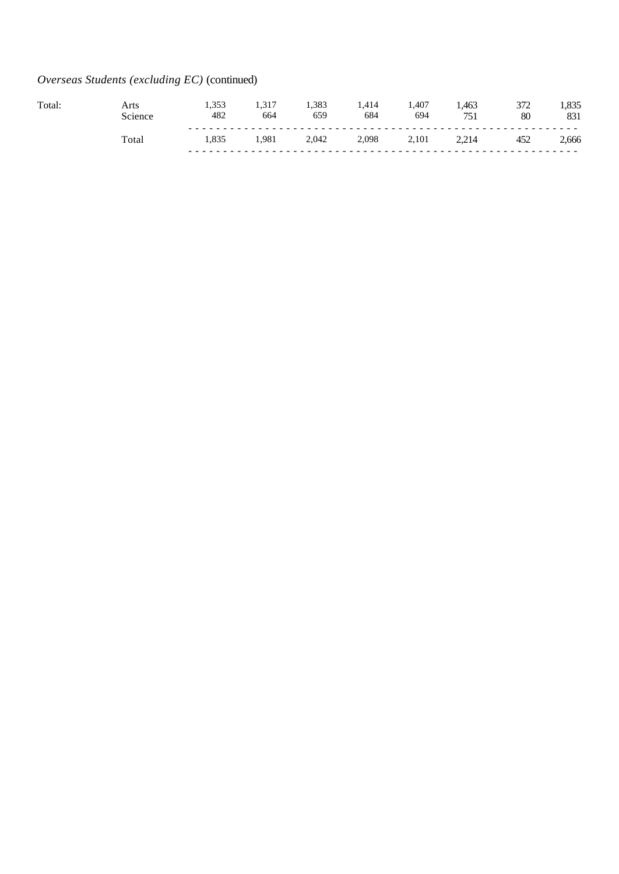# *Overseas Students (excluding EC)* (continued)

| Total. | Arts                   | 1.JJJ<br>482 | 664  | 1.383<br>659 | .,414<br>684 | 1.407<br>694 | .463<br>751 | ے اپ<br>80 | . . 0.<br>831 |
|--------|------------------------|--------------|------|--------------|--------------|--------------|-------------|------------|---------------|
|        | $_{\rm \tau_{\rm ota}$ | 1.835        | .981 | 2.042        | 2,098        | 2,101        | 214<br>$-1$ | 452        | 2,666         |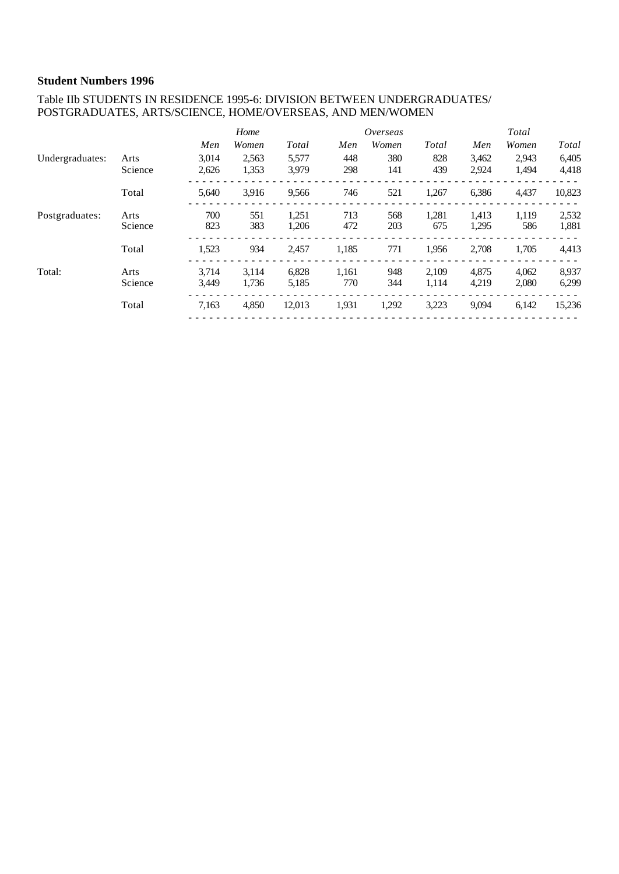### Table IIb STUDENTS IN RESIDENCE 1995-6: DIVISION BETWEEN UNDERGRADUATES/ POSTGRADUATES, ARTS/SCIENCE, HOME/OVERSEAS, AND MEN/WOMEN

|                 |         |       | Home  |        |       | Overseas |       |       | Total |        |
|-----------------|---------|-------|-------|--------|-------|----------|-------|-------|-------|--------|
|                 |         | Men   | Women | Total  | Men   | Women    | Total | Men   | Women | Total  |
| Undergraduates: | Arts    | 3,014 | 2,563 | 5,577  | 448   | 380      | 828   | 3,462 | 2,943 | 6,405  |
|                 | Science | 2,626 | 1,353 | 3.979  | 298   | 141      | 439   | 2,924 | 1,494 | 4,418  |
|                 | Total   | 5,640 | 3.916 | 9,566  | 746   | 521      | 1,267 | 6,386 | 4,437 | 10,823 |
| Postgraduates:  | Arts    | 700   | 551   | 1,251  | 713   | 568      | 1,281 | 1,413 | 1,119 | 2,532  |
|                 | Science | 823   | 383   | 1,206  | 472   | 203      | 675   | 1,295 | 586   | 1,881  |
|                 | Total   | 1,523 | 934   | 2,457  | 1,185 | 771      | 1,956 | 2,708 | 1,705 | 4,413  |
| Total:          | Arts    | 3.714 | 3.114 | 6,828  | 1,161 | 948      | 2.109 | 4.875 | 4.062 | 8,937  |
|                 | Science | 3,449 | 1.736 | 5,185  | 770   | 344      | 1,114 | 4,219 | 2,080 | 6,299  |
|                 | Total   | 7,163 | 4,850 | 12,013 | 1,931 | 1,292    | 3,223 | 9,094 | 6,142 | 15,236 |
|                 |         |       |       |        |       |          |       |       |       |        |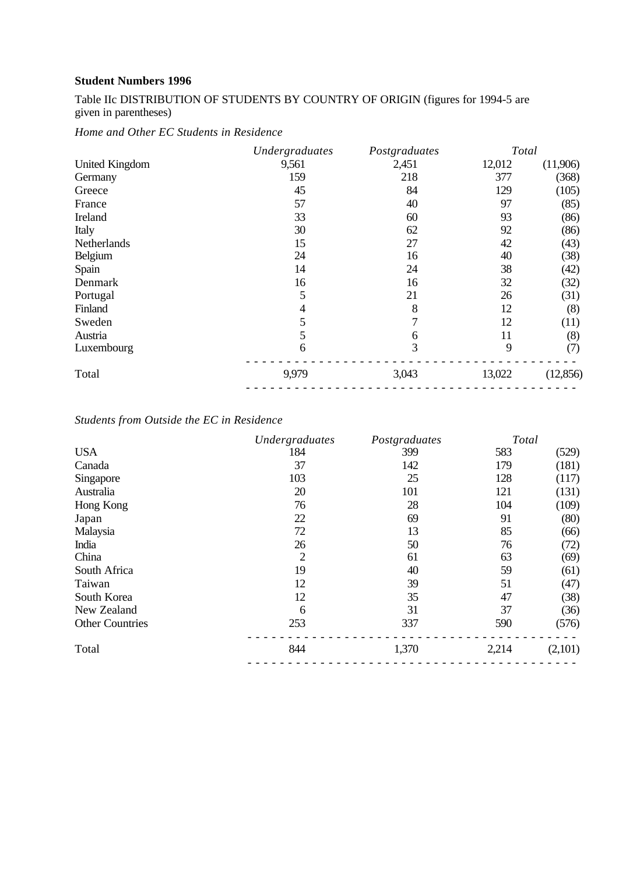Table IIc DISTRIBUTION OF STUDENTS BY COUNTRY OF ORIGIN (figures for 1994-5 are given in parentheses)

*Home and Other EC Students in Residence*

|                       | Undergraduates | Postgraduates | Total  |           |
|-----------------------|----------------|---------------|--------|-----------|
| <b>United Kingdom</b> | 9,561          | 2,451         | 12,012 | (11,906)  |
| Germany               | 159            | 218           | 377    | (368)     |
| Greece                | 45             | 84            | 129    | (105)     |
| France                | 57             | 40            | 97     | (85)      |
| Ireland               | 33             | 60            | 93     | (86)      |
| Italy                 | 30             | 62            | 92     | (86)      |
| Netherlands           | 15             | 27            | 42     | (43)      |
| Belgium               | 24             | 16            | 40     | (38)      |
| Spain                 | 14             | 24            | 38     | (42)      |
| Denmark               | 16             | 16            | 32     | (32)      |
| Portugal              | 5              | 21            | 26     | (31)      |
| Finland               | 4              | 8             | 12     | (8)       |
| Sweden                |                | 7             | 12     | (11)      |
| Austria               | 5              | 6             | 11     | (8)       |
| Luxembourg            | 6              | 3             | 9      | (7)       |
| Total                 | 9,979          | 3,043         | 13,022 | (12, 856) |
|                       |                |               |        |           |

## *Students from Outside the EC in Residence*

|                        | Undergraduates | Postgraduates | Total |         |
|------------------------|----------------|---------------|-------|---------|
| <b>USA</b>             | 184            | 399           | 583   | (529)   |
| Canada                 | 37             | 142           | 179   | (181)   |
| Singapore              | 103            | 25            | 128   | (117)   |
| Australia              | 20             | 101           | 121   | (131)   |
| Hong Kong              | 76             | 28            | 104   | (109)   |
| Japan                  | 22             | 69            | 91    | (80)    |
| Malaysia               | 72             | 13            | 85    | (66)    |
| India                  | 26             | 50            | 76    | (72)    |
| China                  | 2              | 61            | 63    | (69)    |
| South Africa           | 19             | 40            | 59    | (61)    |
| Taiwan                 | 12             | 39            | 51    | (47)    |
| South Korea            | 12             | 35            | 47    | (38)    |
| New Zealand            | 6              | 31            | 37    | (36)    |
| <b>Other Countries</b> | 253            | 337           | 590   | (576)   |
| Total                  | 844            | 1,370         | 2,214 | (2,101) |
|                        |                |               |       |         |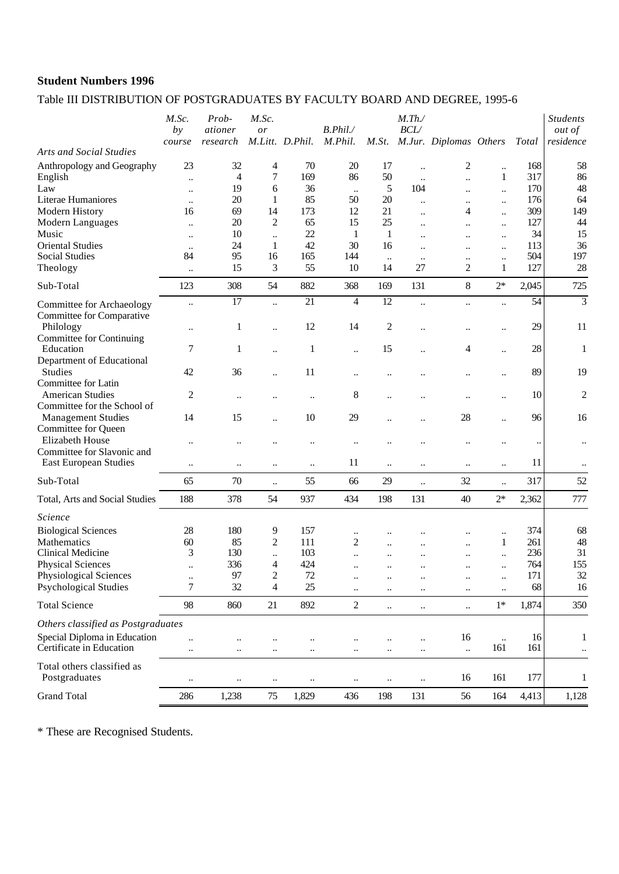## Table III DISTRIBUTION OF POSTGRADUATES BY FACULTY BOARD AND DEGREE, 1995-6

|                                                          | M.Sc.<br>by                       | Prob-<br>ationer          | M.Sc.<br>or          | M.Litt. D.Phil.        | B. Phil.               |                       | M. Th.<br>BCL/         |                                   |                           |                      | <b>Students</b><br><i>out of</i> |
|----------------------------------------------------------|-----------------------------------|---------------------------|----------------------|------------------------|------------------------|-----------------------|------------------------|-----------------------------------|---------------------------|----------------------|----------------------------------|
| <b>Arts and Social Studies</b>                           | course                            | research                  |                      |                        | M.Phil.                | M.St.                 |                        | M.Jur. Diplomas Others            |                           | <b>Total</b>         | residence                        |
| Anthropology and Geography                               | 23                                | 32<br>4                   | 4<br>7               | 70<br>169              | 20<br>86               | 17<br>50              | $\ddot{\phantom{a}}$   | 2                                 | $\ddot{\phantom{a}}$<br>1 | 168<br>317           | 58<br>86                         |
| English<br>Law                                           | $\ddot{\phantom{0}}$              | 19                        | 6                    | 36                     |                        | 5                     | $\ldots$<br>104        | $\ddot{\phantom{0}}$              | $\ddot{\phantom{a}}$      | 170                  | 48                               |
| Literae Humaniores                                       | $\ddot{\phantom{a}}$<br>$\ddotsc$ | 20                        | 1                    | 85                     | $\ddotsc$<br>50        | 20                    | $\ldots$               | $\ddot{\phantom{a}}$<br>$\ddotsc$ | $\ddot{\phantom{a}}$      | 176                  | 64                               |
| Modern History                                           | 16                                | 69                        | 14                   | 173                    | 12                     | 21                    | $\ddot{\phantom{0}}$   | 4                                 | $\ddot{\phantom{a}}$      | 309                  | 149                              |
| Modern Languages                                         | $\ddot{\phantom{a}}$              | 20                        | $\boldsymbol{2}$     | 65                     | 15                     | 25                    | $\ddotsc$              | $\ddot{\phantom{a}}$              | $\ddot{\phantom{a}}$      | 127                  | 44                               |
| Music                                                    | $\ddotsc$                         | 10                        | $\ddotsc$            | 22                     | $\mathbf{1}$           | $\mathbf{1}$          | $\ddot{\phantom{a}}$   |                                   | $\ddot{\phantom{a}}$      | 34                   | 15                               |
| <b>Oriental Studies</b>                                  | $\ddotsc$                         | 24                        | $\mathbf{1}$         | 42                     | 30                     | 16                    | $\ddot{\phantom{a}}$   | $\ddot{\phantom{a}}$              | $\ddot{\phantom{a}}$      | 113                  | 36                               |
| <b>Social Studies</b>                                    | 84                                | 95                        | 16                   | 165                    | 144                    | $\ddotsc$             | $\ddotsc$              |                                   | $\ddot{\phantom{a}}$      | 504                  | 197                              |
| Theology                                                 | $\ddotsc$                         | 15                        | 3                    | 55                     | 10                     | 14                    | 27                     | 2                                 | 1                         | 127                  | 28                               |
| Sub-Total                                                | 123                               | 308                       | 54                   | 882                    | 368                    | 169                   | 131                    | $\,8\,$                           | $2*$                      | 2,045                | 725                              |
| Committee for Archaeology<br>Committee for Comparative   | $\ddotsc$                         | $\overline{17}$           | $\ddot{\phantom{a}}$ | $\overline{21}$        | $\overline{4}$         | $\overline{12}$       | $\ddotsc$              | $\ddot{\phantom{a}}$              | $\ddot{\phantom{a}}$      | 54                   | $\overline{3}$                   |
| Philology<br>Committee for Continuing                    | $\ddotsc$                         | 1                         | $\ddot{\phantom{a}}$ | 12                     | 14                     | 2                     | $\ddot{\phantom{a}}$   |                                   | $\ddot{\phantom{0}}$      | 29                   | 11                               |
| Education<br>Department of Educational                   | 7                                 | 1                         |                      | $\mathbf{1}$           | $\ddot{\phantom{a}}$   | 15                    |                        | 4                                 | $\ddot{\phantom{a}}$      | 28                   | 1                                |
| <b>Studies</b><br>Committee for Latin                    | 42                                | 36                        | $\ddot{\phantom{0}}$ | 11                     | $\ddotsc$              |                       |                        |                                   | $\ddotsc$                 | 89                   | 19                               |
| <b>American Studies</b>                                  | 2                                 | $\ddot{\phantom{0}}\cdot$ |                      | $\ldots$               | 8                      | $\ddot{\phantom{a}}$  |                        |                                   | $\ddot{\phantom{0}}$      | 10                   | $\overline{c}$                   |
| Committee for the School of<br><b>Management Studies</b> | 14                                | 15                        | $\ddot{\phantom{0}}$ | 10                     | 29                     |                       |                        | 28                                | $\ddot{\phantom{0}}$      | 96                   | 16                               |
| Committee for Queen<br>Elizabeth House                   | $\ddot{\phantom{a}}$              |                           |                      |                        |                        |                       |                        |                                   |                           | $\ddot{\phantom{0}}$ | $\ddotsc$                        |
| Committee for Slavonic and<br>East European Studies      | $\ddot{\phantom{0}}$              | $\ddot{\phantom{a}}$      |                      | $\ldots$               | 11                     | $\ddot{\phantom{a}}$  | $\ddot{\phantom{a}}$   | $\ddot{\phantom{a}}$              | $\ddot{\phantom{a}}$      | 11                   | $\ddotsc$                        |
| Sub-Total                                                | 65                                | 70                        | $\ddot{\phantom{a}}$ | 55                     | 66                     | 29                    | $\ddotsc$              | 32                                | $\ddotsc$                 | 317                  | 52                               |
| Total, Arts and Social Studies                           | 188                               | 378                       | 54                   | 937                    | 434                    | 198                   | 131                    | 40                                | $2*$                      | 2,362                | 777                              |
| Science                                                  |                                   |                           |                      |                        |                        |                       |                        |                                   |                           |                      |                                  |
| <b>Biological Sciences</b>                               | 28                                | 180                       | 9                    | 157                    | $\ddotsc$              |                       |                        |                                   | $\ddot{\phantom{a}}$      | 374                  | 68                               |
| Mathematics                                              | 60                                | 85                        | 2                    | 111                    | 2                      | $\ddot{\phantom{a}}$  | $\ddot{\phantom{a}}$   |                                   | 1                         | 261                  | 48                               |
| Clinical Medicine                                        | 3                                 | 130                       | $\ddot{\phantom{a}}$ | 103                    | $\ddot{\phantom{a}}$   |                       |                        |                                   | $\ddot{\phantom{a}}$      | 236                  | 31                               |
| <b>Physical Sciences</b>                                 | $\ddotsc$                         | 336                       | 4                    | 424                    | $\ddot{\phantom{a}}$   | $\ddot{\phantom{a}}$  | $\ddot{\phantom{a}}$   |                                   | $\ddot{\phantom{a}}$      | 764                  | 155                              |
| Physiological Sciences<br><b>Psychological Studies</b>   | $\ddotsc$<br>7                    | 97<br>32                  | $\overline{c}$<br>4  | $72\,$<br>25           |                        | $\ddotsc$             | $\ddotsc$              |                                   | $\ddotsc$                 | 171<br>68            | 32                               |
|                                                          |                                   |                           |                      |                        | $\ddotsc$              | $\ddotsc$             | $\ddotsc$              | $\ddotsc$                         | $\ddot{\phantom{0}}$      |                      | 16                               |
| <b>Total Science</b>                                     | 98                                | 860                       | 21                   | 892                    | $\overline{c}$         | $\ddot{\phantom{a}}$  | $\ldots$               | $\ddotsc$                         | $1*$                      | 1,874                | 350                              |
| Others classified as Postgraduates                       |                                   |                           |                      |                        |                        |                       |                        |                                   |                           |                      |                                  |
| Special Diploma in Education                             |                                   |                           |                      |                        |                        |                       |                        |                                   |                           |                      |                                  |
| Certificate in Education                                 | $\ddot{\phantom{a}}$<br>          | $\ddotsc$<br>$\ddotsc$    | <br>$\ddotsc$        | $\ddotsc$<br>$\ddotsc$ | $\ddotsc$<br>$\ddotsc$ | $\ddotsc$<br>$\ldots$ | $\ddotsc$<br>$\ddotsc$ | 16<br>$\ddotsc$                   | $\ddotsc$<br>161          | 16<br>161            | 1<br>$\ddotsc$                   |
| Total others classified as<br>Postgraduates              | $\ddotsc$                         | $\ddotsc$                 | $\ddotsc$            | $\ddotsc$              |                        | $\ddotsc$             | $\ddotsc$              | 16                                | 161                       | 177                  | 1                                |

\* These are Recognised Students.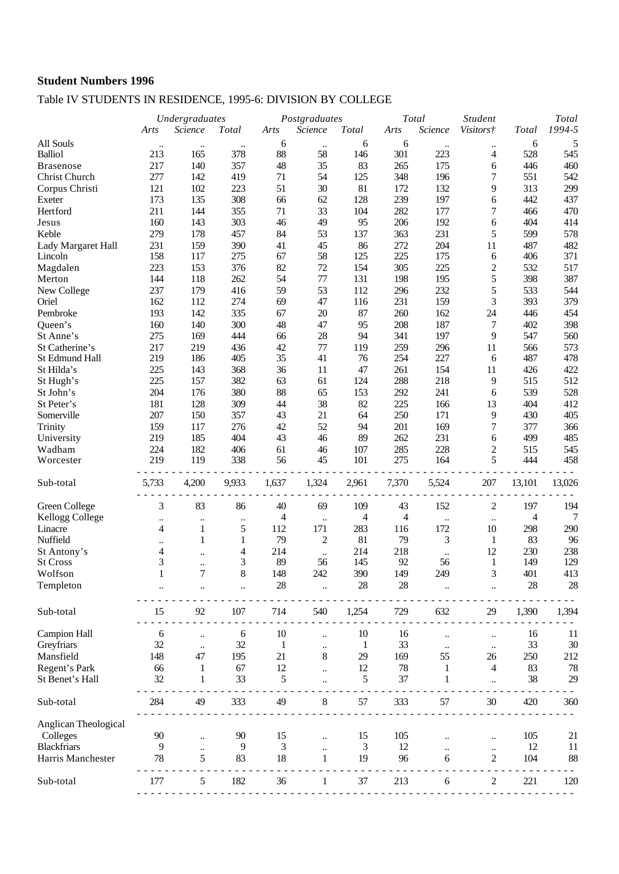## Table IV STUDENTS IN RESIDENCE, 1995-6: DIVISION BY COLLEGE

|                      |                | Undergraduates            |                | Postgraduates  |                             |              | Total |                 | <b>Student</b>             |              |                 |
|----------------------|----------------|---------------------------|----------------|----------------|-----------------------------|--------------|-------|-----------------|----------------------------|--------------|-----------------|
|                      | Arts           | Science                   | <b>Total</b>   | Arts           | Science                     | Total        | Arts  | Science         | Visitors†                  | <b>Total</b> | Total<br>1994-5 |
| All Souls            | $\ddotsc$      | $\ddotsc$                 |                | 6              | $\ddotsc$                   | 6            | 6     | $\ddotsc$       |                            | 6            | 5               |
| <b>Balliol</b>       | 213            | 165                       | 378            | 88             | 58                          | 146          | 301   | 223             | 4                          | 528          | 545             |
| <b>Brasenose</b>     | 217            | 140                       | 357            | 48             | 35                          | 83           | 265   | 175             | 6                          | 446          | 460             |
| Christ Church        | 277            | 142                       | 419            | 71             | 54                          | 125          | 348   | 196             | 7                          | 551          | 542             |
| Corpus Christi       | 121            | 102                       | 223            | 51             | 30                          | 81           | 172   | 132             | 9                          | 313          | 299             |
| Exeter               | 173            | 135                       | 308            | 66             | 62                          | 128          | 239   | 197             | 6                          | 442          | 437             |
| Hertford             | 211            | 144                       | 355            | 71             | 33                          | 104          | 282   | 177             | 7                          | 466          | 470             |
| Jesus                | 160            | 143                       | 303            | 46             | 49                          | 95           | 206   | 192             | 6                          | 404          | 414             |
| Keble                | 279            |                           | 457            |                | 53                          |              |       |                 | 5                          | 599          | 578             |
|                      |                | 178                       |                | 84             |                             | 137          | 363   | 231             |                            |              |                 |
| Lady Margaret Hall   | 231            | 159                       | 390            | 41             | 45                          | 86           | 272   | 204             | 11                         | 487          | 482             |
| Lincoln              | 158            | 117                       | 275            | 67             | 58                          | 125          | 225   | 175             | 6                          | 406          | 371             |
| Magdalen             | 223            | 153                       | 376            | 82             | 72                          | 154          | 305   | 225             | $\overline{c}$             | 532          | 517             |
| Merton               | 144            | 118                       | 262            | 54             | 77                          | 131          | 198   | 195             | $\mathfrak s$              | 398          | 387             |
| New College          | 237            | 179                       | 416            | 59             | 53                          | 112          | 296   | 232             | 5                          | 533          | 544             |
| Oriel                | 162            | 112                       | 274            | 69             | 47                          | 116          | 231   | 159             | 3                          | 393          | 379             |
| Pembroke             | 193            | 142                       | 335            | 67             | 20                          | 87           | 260   | 162             | 24                         | 446          | 454             |
| Queen's              | 160            | 140                       | 300            | 48             | 47                          | 95           | 208   | 187             | 7                          | 402          | 398             |
| St Anne's            | 275            | 169                       | 444            | 66             | 28                          | 94           | 341   | 197             | $\overline{9}$             | 547          | 560             |
| St Catherine's       | 217            | 219                       | 436            | 42             | 77                          | 119          | 259   | 296             | 11                         | 566          | 573             |
| St Edmund Hall       | 219            | 186                       | 405            | 35             | 41                          | 76           | 254   | 227             | 6                          | 487          | 478             |
| St Hilda's           | 225            | 143                       | 368            | 36             | 11                          | 47           | 261   | 154             | 11                         | 426          | 422             |
| St Hugh's            | 225            | 157                       | 382            | 63             | 61                          | 124          | 288   | 218             | 9                          | 515          | 512             |
| St John's            | 204            | 176                       | 380            | 88             | 65                          | 153          | 292   | 241             | 6                          | 539          | 528             |
| St Peter's           | 181            | 128                       | 309            | 44             | 38                          | 82           | 225   | 166             | 13                         | 404          | 412             |
| Somerville           | 207            | 150                       | 357            | 43             | 21                          | 64           | 250   | 171             | 9                          | 430          | 405             |
| Trinity              | 159            | 117                       | 276            | 42             | 52                          | 94           | 201   | 169             | 7                          | 377          | 366             |
| University           | 219            | 185                       | 404            | 43             | 46                          | 89           | 262   | 231             | 6                          | 499          | 485             |
| Wadham               | 224            | 182                       | 406            | 61             | 46                          | 107          | 285   | 228             | $\overline{c}$             | 515          | 545             |
| Worcester            | 219            | 119                       | 338            | 56             | 45                          | 101          | 275   | 164             | 5                          | 444          | 458             |
|                      |                |                           |                |                |                             |              |       |                 |                            |              |                 |
| Sub-total            | 5,733          | 4,200                     | 9,933          | 1,637          | 1,324                       | 2,961        | 7,370 | 5,524           | 207                        | 13,101       | 13,026          |
|                      |                |                           |                |                |                             |              |       |                 |                            |              |                 |
| Green College        | 3              | 83                        | 86             | 40             | 69                          | 109          | 43    | 152             | $\overline{c}$             | 197          | 194             |
| Kellogg College      |                |                           |                | 4              |                             | 4            | 4     |                 |                            | 4            | 7               |
| Linacre              | $\ddotsc$<br>4 | $\ddotsc$<br>$\mathbf{1}$ | $\ddotsc$<br>5 | 112            | $\ddot{\phantom{a}}$<br>171 | 283          | 116   | $\ldots$<br>172 | $\ldots$<br>10             | 298          | 290             |
| Nuffield             |                | $\mathbf{1}$              | $\mathbf{1}$   | 79             | $\overline{2}$              | 81           | 79    | 3               | $\mathbf{1}$               | 83           | 96              |
|                      |                |                           |                |                |                             |              |       |                 |                            |              |                 |
| St Antony's          | 4              | $\ddotsc$                 | 4              | 214            | $\ddotsc$                   | 214          | 218   | $\ddotsc$       | 12                         | 230          | 238             |
| <b>St Cross</b>      | 3              | $\ldots$                  | 3              | 89             | 56                          | 145          | 92    | 56              | 1                          | 149          | 129             |
| Wolfson              | $\mathbf{1}$   | 7                         | 8              | 148            | 242                         | 390          | 149   | 249             | 3                          | 401          | 413             |
| Templeton            |                |                           |                | 28             |                             | 28           | 28    |                 |                            | 28           | 28              |
|                      |                |                           |                |                |                             |              |       |                 |                            |              |                 |
| Sub-total            | 15             | 92                        | 107            | 714            | 540                         | 1,254        | 729   | 632             | 29                         | 1,390        | 1,394           |
|                      |                |                           |                |                |                             |              |       |                 |                            |              |                 |
| <b>Campion Hall</b>  | 6              | $\ddot{\phantom{a}}$      | 6              | 10             |                             | 10           | 16    |                 |                            | 16           | 11              |
| Greyfriars           | 32             | $\ddot{\phantom{a}}$      | 32             | 1              | $\ddot{\phantom{0}}$        | $\mathbf{1}$ | 33    |                 | $\ddot{\phantom{0}}$       | 33           | 30              |
| Mansfield            | 148            | 47                        | 195            | 21             | 8                           | 29           | 169   | 55              | 26                         | 250          | 212             |
| Regent's Park        | 66             | 1                         | 67             | 12             |                             | 12           | 78    | 1               | 4                          | 83           | 78              |
| St Benet's Hall      | 32             | 1                         | 33             | 5              |                             | 5            | 37    | 1               |                            | 38           | 29              |
|                      |                |                           |                |                |                             |              |       |                 |                            |              |                 |
| Sub-total            | 284            | 49                        | 333            | 49             | 8                           | 57           | 333   | 57              | 30                         | 420          | 360             |
|                      |                |                           |                |                |                             |              |       |                 |                            |              |                 |
| Anglican Theological |                |                           |                |                |                             |              |       |                 |                            |              |                 |
| Colleges             | 90             |                           | 90             | 15             |                             | 15           | 105   |                 |                            | 105          | 21              |
| <b>Blackfriars</b>   | 9              | $\ldots$                  | 9              | $\mathfrak{Z}$ |                             | 3            | 12    |                 |                            | 12           | 11              |
| Harris Manchester    | 78             | <br>5                     | 83             | 18             | $\mathbf{1}$                | 19           | 96    | 6               | $\ldots$<br>$\overline{2}$ | 104          | 88              |
|                      |                |                           |                |                |                             |              |       |                 |                            |              |                 |
| Sub-total            | 177            | 5                         | 182            | 36             | 1                           | 37           | 213   | 6               | 2                          | 221          | 120             |
|                      |                |                           |                |                |                             |              |       |                 |                            |              |                 |
|                      |                |                           |                |                |                             |              |       |                 |                            |              |                 |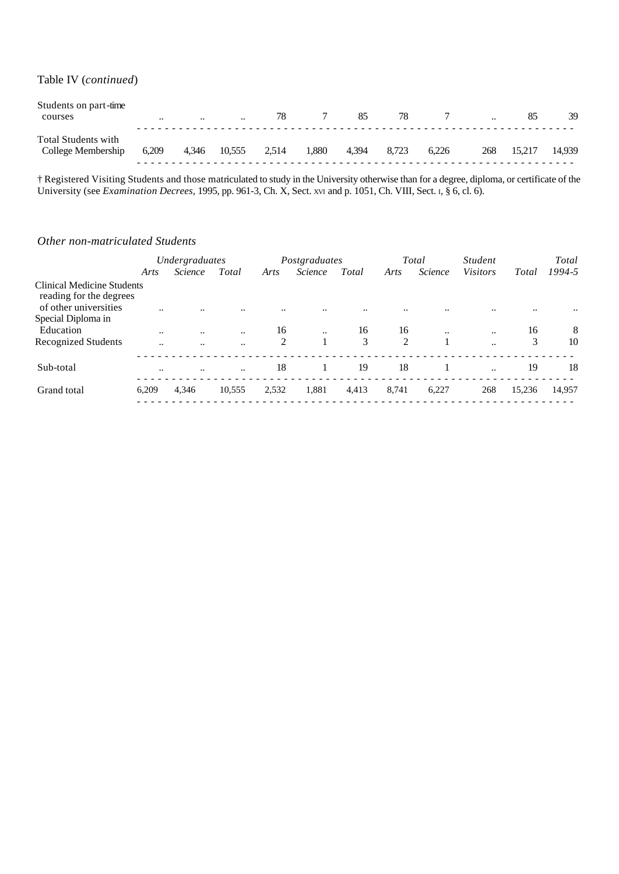Table IV (*continued*)

| Students on part-time<br>courses                 | $\ddotsc$ | $\cdot\cdot$ | $\ddotsc$ | 78    |       | 85    | 78    |       | $\cdot \cdot$ |        | 39     |
|--------------------------------------------------|-----------|--------------|-----------|-------|-------|-------|-------|-------|---------------|--------|--------|
| <b>Total Students with</b><br>College Membership | 6,209     | 4,346        | 10,555    | 2.514 | 1.880 | 4.394 | 8.723 | 6.226 | 268           | 15.217 | 14.939 |

† Registered Visiting Students and those matriculated to study in the University otherwise than for a degree, diploma, or certificate of the University (see *Examination Decrees,* 1995, pp. 961-3, Ch. X, Sect. XVI and p. 1051, Ch. VIII, Sect. I, § 6, cl. 6).

#### *Other non-matriculated Students*

|                                                              | Undergraduates       |                |                      | Postgraduates |                |       |       | Total          | <i>Student</i>       |           | Total  |
|--------------------------------------------------------------|----------------------|----------------|----------------------|---------------|----------------|-------|-------|----------------|----------------------|-----------|--------|
|                                                              | Arts                 | <i>Science</i> | Total                | Arts          | <i>Science</i> | Total | Arts  | <b>Science</b> | <b>Visitors</b>      | Total     | 1994-5 |
| <b>Clinical Medicine Students</b><br>reading for the degrees |                      |                |                      |               |                |       |       |                |                      |           |        |
| of other universities                                        | $\ddot{\phantom{0}}$ |                | $\ddot{\phantom{0}}$ |               |                |       |       |                |                      | $\ddotsc$ |        |
| Special Diploma in                                           |                      |                |                      |               |                |       |       |                |                      |           |        |
| Education                                                    | $\ddotsc$            | $\ddotsc$      | $\ddotsc$            | 16            | $\ddotsc$      | 16    | 16    | $\ddotsc$      |                      | 16        | 8      |
| Recognized Students                                          | $\ddot{\phantom{0}}$ | $\ddotsc$      | $\ddotsc$            | 2             |                | 3     | 2     | $\mathbf{1}$   |                      | 3         | 10     |
| Sub-total                                                    |                      | $\ddotsc$      | $\ddotsc$            | 18            |                | 19    | 18    |                | $\ddot{\phantom{a}}$ | 19        | 18     |
| Grand total                                                  | 6,209                | 4.346          | 10,555               | 2,532         | 1,881          | 4,413 | 8,741 | 6,227          | 268                  | 15,236    | 14,957 |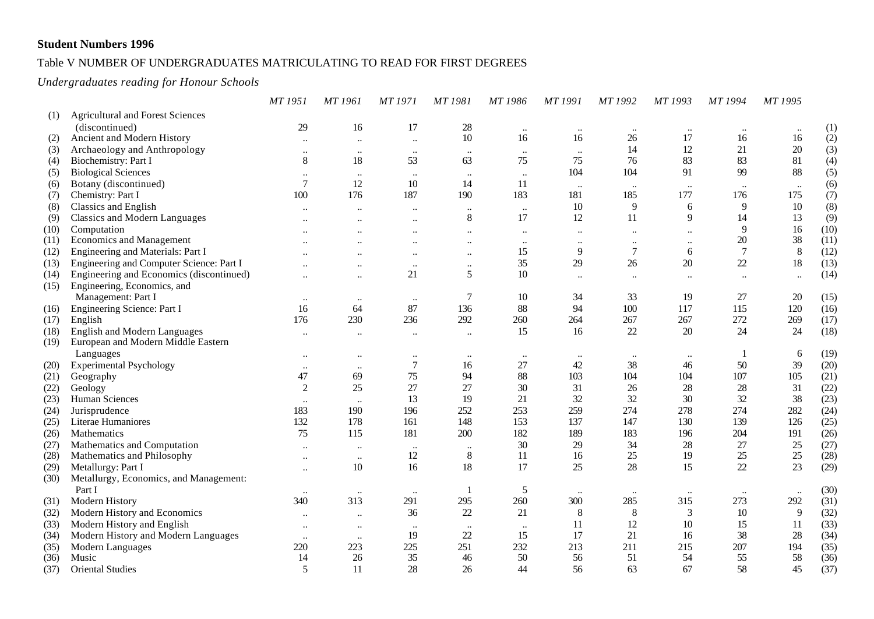## Table V NUMBER OF UNDERGRADUATES MATRICULATING TO READ FOR FIRST DEGREES

#### *Undergraduates reading for Honour Schools*

|      |                                          | MT 1951              | MT 1961              | <b>MT1971</b>             | MT 1981                   | MT 1986          | MT 1991              | MT 1992              | MT 1993              | MT 1994   | MT 1995        |      |
|------|------------------------------------------|----------------------|----------------------|---------------------------|---------------------------|------------------|----------------------|----------------------|----------------------|-----------|----------------|------|
| (1)  | <b>Agricultural and Forest Sciences</b>  |                      |                      |                           |                           |                  |                      |                      |                      |           |                |      |
|      | (discontinued)                           | 29                   | 16                   | 17                        | 28                        | $\ldots$         | $\ddotsc$            | $\ldots$             | $\ddotsc$            | $\ddotsc$ | $\ddotsc$      | (1)  |
| (2)  | Ancient and Modern History               |                      | $\ddotsc$            | $\ddot{\phantom{0}}$      | 10                        | 16               | 16                   | 26                   | 17                   | 16        | 16             | (2)  |
| (3)  | Archaeology and Anthropology             | $\ddotsc$            |                      | $\ldots$                  | $\ddotsc$                 | $\ddots$         |                      | 14                   | 12                   | 21        | 20             | (3)  |
| (4)  | Biochemistry: Part I                     | $8\,$                | 18                   | 53                        | 63                        | 75               | 75                   | 76                   | 83                   | 83        | 81             | (4)  |
| (5)  | <b>Biological Sciences</b>               | $\ddotsc$            | $\ddot{\phantom{0}}$ | $\ddotsc$                 | $\ddotsc$                 | $\ldots$         | 104                  | 104                  | 91                   | 99        | 88             | (5)  |
| (6)  | Botany (discontinued)                    | $\overline{7}$       | 12                   | 10                        | 14                        | 11               |                      | $\ddot{\phantom{a}}$ | $\ddotsc$            | $\ddotsc$ | $\ldots$       | (6)  |
| (7)  | Chemistry: Part I                        | 100                  | 176                  | 187                       | 190                       | 183              | 181                  | 185                  | 177                  | 176       | 175            | (7)  |
| (8)  | <b>Classics and English</b>              |                      | $\ddotsc$            | $\ddot{\phantom{0}}$      | $\ldots$                  | $\ldots$         | 10                   | 9                    | 6                    | 9         | $10\,$         | (8)  |
| (9)  | <b>Classics and Modern Languages</b>     |                      |                      | $\ddot{\phantom{0}}$      | $\,8\,$                   | 17               | 12                   | 11                   | 9                    | 14        | 13             | (9)  |
| (10) | Computation                              |                      |                      | $\ddot{\phantom{0}}$      | $\ddotsc$                 | $\ddotsc$        | $\ddot{\phantom{0}}$ |                      | $\ddot{\phantom{0}}$ | 9         | 16             | (10) |
| (11) | Economics and Management                 |                      |                      | $\ddot{\phantom{0}}$      | $\ddotsc$                 | $\ddotsc$        | $\ddot{\phantom{0}}$ | $\ddotsc$            | $\ddotsc$            | $20\,$    | 38             | (11) |
| (12) | Engineering and Materials: Part I        |                      |                      | $\ddot{\phantom{0}}$      | $\ddot{\phantom{0}}\cdot$ | 15               | 9                    | $\overline{7}$       | 6                    | $\tau$    | 8              | (12) |
| (13) | Engineering and Computer Science: Part I |                      | $\ddotsc$            | $\ddotsc$                 | $\cdots$                  | 35               | 29                   | 26                   | 20                   | $22\,$    | 18             | (13) |
| (14) | Engineering and Economics (discontinued) |                      | $\ddotsc$            | 21                        | 5                         | 10               | $\ddot{\phantom{0}}$ |                      | $\ddotsc$            | $\ddotsc$ | $\ddotsc$      | (14) |
| (15) | Engineering, Economics, and              |                      |                      |                           |                           |                  |                      |                      |                      |           |                |      |
|      | Management: Part I                       | $\ddotsc$            |                      | $\ldots$                  | $\boldsymbol{7}$          | 10               | 34                   | 33                   | 19                   | 27        | 20             | (15) |
| (16) | Engineering Science: Part I              | 16                   | 64                   | 87                        | 136                       | 88               | 94                   | 100                  | 117                  | 115       | 120            | (16) |
| (17) | English                                  | 176                  | 230                  | 236                       | 292                       | 260              | 264                  | 267                  | 267                  | 272       | 269            | (17) |
| (18) | <b>English and Modern Languages</b>      | $\ddotsc$            | $\ddotsc$            | $\ddot{\phantom{0}}$      | $\ddotsc$                 | 15               | 16                   | 22                   | 20                   | 24        | 24             | (18) |
| (19) | European and Modern Middle Eastern       |                      |                      |                           |                           |                  |                      |                      |                      |           |                |      |
|      | Languages                                |                      | $\ddotsc$            | $\ddotsc$                 | $\cdots$                  | $\bullet\bullet$ | $\ddotsc$            | $\ldots$             | $\cdots$             |           | 6              | (19) |
| (20) | <b>Experimental Psychology</b>           | $\ddotsc$            | $\ddotsc$            | $\boldsymbol{7}$          | 16                        | 27               | 42                   | 38                   | 46                   | 50        | 39             | (20) |
| (21) | Geography                                | 47                   | 69                   | 75                        | 94                        | 88               | 103                  | 104                  | 104                  | 107       | 105            | (21) |
| (22) | Geology                                  | 2                    | 25                   | 27                        | 27                        | 30               | 31                   | $26\,$               | $28\,$               | 28        | 31             | (22) |
| (23) | Human Sciences                           | $\ddotsc$            |                      | 13                        | 19                        | 21               | 32                   | 32                   | 30                   | 32        | 38             | (23) |
| (24) | Jurisprudence                            | 183                  | 190                  | 196                       | 252                       | 253              | 259                  | 274                  | 278                  | 274       | 282            | (24) |
| (25) | Literae Humaniores                       | 132                  | 178                  | 161                       | 148                       | 153              | 137                  | 147                  | 130                  | 139       | 126            | (25) |
| (26) | Mathematics                              | 75                   | 115                  | 181                       | 200                       | 182              | 189                  | 183                  | 196                  | 204       | 191            | (26) |
| (27) | Mathematics and Computation              | $\ddot{\phantom{0}}$ |                      | $\ldots$                  | $\ddotsc$                 | 30               | 29                   | 34                   | 28                   | 27        | 25             | (27) |
| (28) | Mathematics and Philosophy               | $\ddotsc$            | $\ddotsc$            | 12                        | $\,8\,$                   | 11               | 16                   | 25                   | 19                   | 25        | 25             | (28) |
| (29) | Metallurgy: Part I                       |                      | 10                   | 16                        | $18\,$                    | 17               | 25                   | 28                   | 15                   | 22        | 23             | (29) |
| (30) | Metallurgy, Economics, and Management:   |                      |                      |                           |                           |                  |                      |                      |                      |           |                |      |
|      | Part I                                   |                      | $\ddotsc$            | $\ddot{\phantom{0}}\cdot$ | $\overline{1}$            | 5                | $\ddot{\phantom{0}}$ |                      | $\ddotsc$            | $\ddotsc$ | $\ddotsc$      | (30) |
| (31) | Modern History                           | 340                  | 313                  | 291                       | 295                       | 260              | 300                  | 285                  | 315                  | 273       | 292            | (31) |
| (32) | Modern History and Economics             |                      | $\ddot{\phantom{0}}$ | 36                        | 22                        | 21               | $\,8\,$              | 8                    | $\mathfrak{Z}$       | $10\,$    | $\overline{9}$ | (32) |
| (33) | Modern History and English               |                      |                      | $\ddot{\phantom{0}}\cdot$ | $\ddotsc$                 | $\ldots$         | 11                   | 12                   | 10                   | 15        | 11             | (33) |
| (34) | Modern History and Modern Languages      |                      |                      | 19                        | 22                        | 15               | 17                   | 21                   | 16                   | 38        | 28             | (34) |
| (35) | Modern Languages                         | 220                  | 223                  | 225                       | 251                       | 232              | 213                  | 211                  | 215                  | 207       | 194            | (35) |
| (36) | Music                                    | 14                   | 26                   | 35                        | 46                        | 50               | 56                   | 51                   | 54                   | 55        | 58             | (36) |
| (37) | <b>Oriental Studies</b>                  | 5                    | 11                   | 28                        | 26                        | 44               | 56                   | 63                   | 67                   | 58        | 45             | (37) |